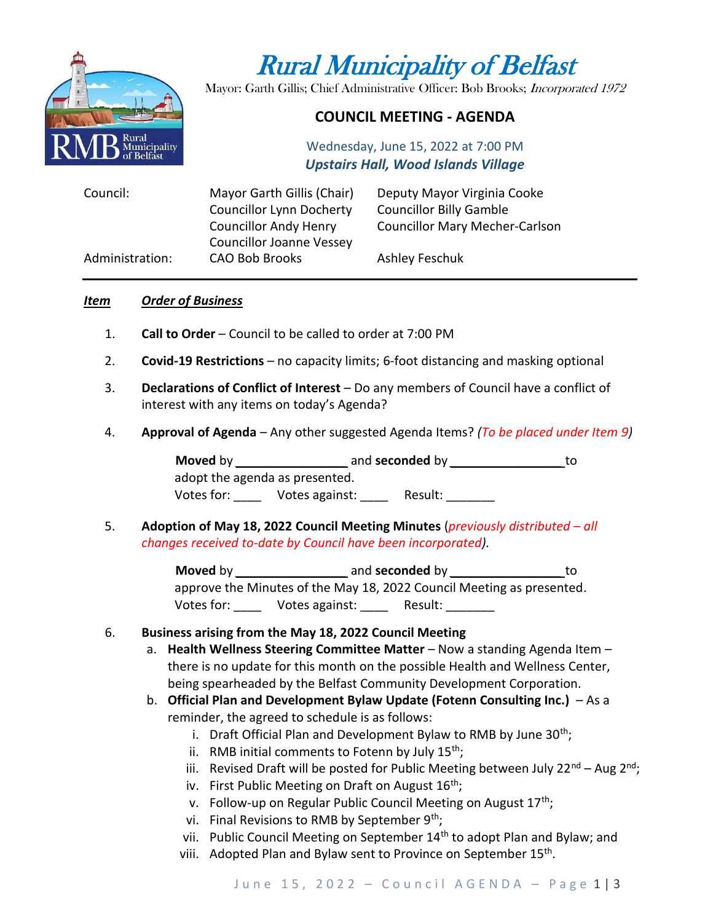

# Rural Municipality of Belfast

Mayor: Garth Gillis; Chief Administrative Officer: Bob Brooks; Incorporated 1972

# **COUNCIL MEETING - AGENDA**

Wednesday, June 15, 2022 at 7:00 PM *Upstairs Hall, Wood Islands Village*

| Council:        | Mayor Garth Gillis (Chair)      | Deputy Mayor Virginia Cooke           |
|-----------------|---------------------------------|---------------------------------------|
|                 | <b>Councillor Lynn Docherty</b> | <b>Councillor Billy Gamble</b>        |
|                 | <b>Councillor Andy Henry</b>    | <b>Councillor Mary Mecher-Carlson</b> |
|                 | <b>Councillor Joanne Vessey</b> |                                       |
| Administration: | <b>CAO Bob Brooks</b>           | Ashley Feschuk                        |

#### *Item Order of Business*

- 1. **Call to Order** Council to be called to order at 7:00 PM
- 2. **Covid-19 Restrictions**  no capacity limits; 6-foot distancing and masking optional
- 3. **Declarations of Conflict of Interest** Do any members of Council have a conflict of interest with any items on today's Agenda?
- 4. **Approval of Agenda** Any other suggested Agenda Items? *(To be placed under Item 9)*

**Moved** by *\_\_\_\_\_\_\_\_\_\_\_\_\_\_\_\_* and **seconded** by *\_\_\_\_\_\_\_\_\_\_\_\_\_\_\_\_* to adopt the agenda as presented. Votes for: <br>Votes against: Persult:

5. **Adoption of May 18, 2022 Council Meeting Minutes** (*previously distributed – all changes received to-date by Council have been incorporated).*

> **Moved** by *\_\_\_\_\_\_\_\_\_\_\_\_\_\_\_\_* and **seconded** by *\_\_\_\_\_\_\_\_\_\_\_\_\_\_\_\_* to approve the Minutes of the May 18, 2022 Council Meeting as presented. Votes for: \_\_\_\_ Votes against: \_\_\_\_\_ Result: \_\_\_\_\_\_\_

## 6. **Business arising from the May 18, 2022 Council Meeting**

- a. **Health Wellness Steering Committee Matter** Now a standing Agenda Item there is no update for this month on the possible Health and Wellness Center, being spearheaded by the Belfast Community Development Corporation.
- b. **Official Plan and Development Bylaw Update (Fotenn Consulting Inc.)**  As a reminder, the agreed to schedule is as follows:
	- i. Draft Official Plan and Development Bylaw to RMB by June  $30^{th}$ ;
	- ii. RMB initial comments to Fotenn by July  $15<sup>th</sup>$ ;
	- iii. Revised Draft will be posted for Public Meeting between July 22 $^{nd}$  Aug 2<sup>nd</sup>;
	- iv. First Public Meeting on Draft on August  $16<sup>th</sup>$ ;
	- v. Follow-up on Regular Public Council Meeting on August  $17<sup>th</sup>$ ;
	- vi. Final Revisions to RMB by September  $9<sup>th</sup>$ ;
	- vii. Public Council Meeting on September 14<sup>th</sup> to adopt Plan and Bylaw; and
	- viii. Adopted Plan and Bylaw sent to Province on September 15<sup>th</sup>.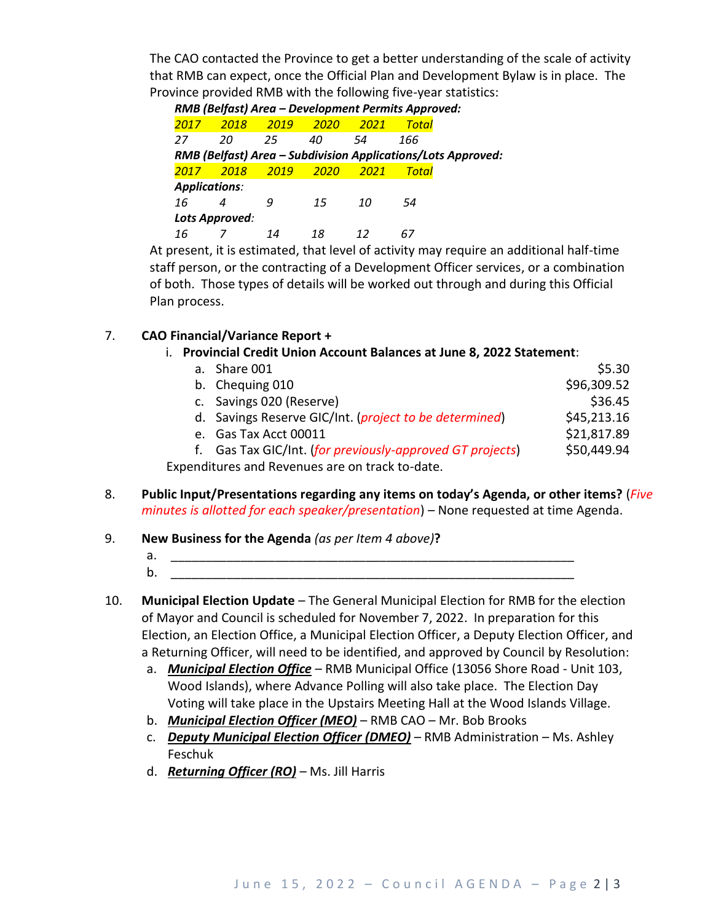The CAO contacted the Province to get a better understanding of the scale of activity that RMB can expect, once the Official Plan and Development Bylaw is in place. The Province provided RMB with the following five-year statistics:

| 2017                                                         | 2018 | 2019 | 2020 | 2021 | Total                                                                                                           |  |
|--------------------------------------------------------------|------|------|------|------|-----------------------------------------------------------------------------------------------------------------|--|
| 27                                                           | 20   | 25   | 40   | 54   | 166                                                                                                             |  |
| RMB (Belfast) Area - Subdivision Applications/Lots Approved: |      |      |      |      |                                                                                                                 |  |
| 2017                                                         | 2018 | 2019 | 2020 | 2021 | Total                                                                                                           |  |
| <b>Applications:</b>                                         |      |      |      |      |                                                                                                                 |  |
| 16                                                           |      | 9    | 15   | 10   | 54                                                                                                              |  |
| Lots Approved:                                               |      |      |      |      |                                                                                                                 |  |
| 16                                                           |      | 14   | 18   | 12   | 67                                                                                                              |  |
|                                                              |      |      |      |      | the contract of the contract of the contract of the contract of the contract of the contract of the contract of |  |

At present, it is estimated, that level of activity may require an additional half-time staff person, or the contracting of a Development Officer services, or a combination of both. Those types of details will be worked out through and during this Official Plan process.

## 7. **CAO Financial/Variance Report +**

i. **Provincial Credit Union Account Balances at June 8, 2022 Statement**:

| a. Share 001                                                    | \$5.30      |
|-----------------------------------------------------------------|-------------|
| b. Chequing 010                                                 | \$96,309.52 |
| c. Savings 020 (Reserve)                                        | \$36.45     |
| d. Savings Reserve GIC/Int. ( <i>project to be determined</i> ) | \$45,213.16 |
| e. Gas Tax Acct 00011                                           | \$21,817.89 |
| f. Gas Tax GIC/Int. (for previously-approved GT projects)       | \$50,449.94 |
| Expenditures and Revenues are on track to-date.                 |             |

- 8. **Public Input/Presentations regarding any items on today's Agenda, or other items?** (*Five minutes is allotted for each speaker/presentation*) – None requested at time Agenda.
- 9. **New Business for the Agenda** *(as per Item 4 above)***?** 
	- a. \_\_\_\_\_\_\_\_\_\_\_\_\_\_\_\_\_\_\_\_\_\_\_\_\_\_\_\_\_\_\_\_\_\_\_\_\_\_\_\_\_\_\_\_\_\_\_\_\_\_\_\_\_\_\_\_\_\_ b. \_\_\_\_\_\_\_\_\_\_\_\_\_\_\_\_\_\_\_\_\_\_\_\_\_\_\_\_\_\_\_\_\_\_\_\_\_\_\_\_\_\_\_\_\_\_\_\_\_\_\_\_\_\_\_\_\_\_
- 10. **Municipal Election Update** The General Municipal Election for RMB for the election of Mayor and Council is scheduled for November 7, 2022. In preparation for this Election, an Election Office, a Municipal Election Officer, a Deputy Election Officer, and a Returning Officer, will need to be identified, and approved by Council by Resolution:
	- a. *Municipal Election Office* RMB Municipal Office (13056 Shore Road Unit 103, Wood Islands), where Advance Polling will also take place. The Election Day Voting will take place in the Upstairs Meeting Hall at the Wood Islands Village.
	- b. *Municipal Election Officer (MEO)* RMB CAO Mr. Bob Brooks
	- c. *Deputy Municipal Election Officer (DMEO)* RMB Administration Ms. Ashley Feschuk
	- d. *Returning Officer (RO)* Ms. Jill Harris